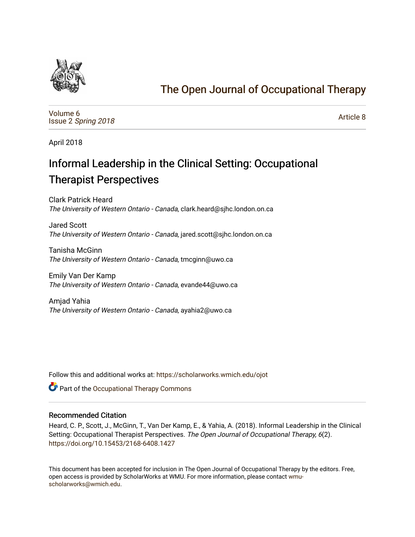

# [The Open Journal of Occupational Therapy](https://scholarworks.wmich.edu/ojot)

[Volume 6](https://scholarworks.wmich.edu/ojot/vol6) Issue 2 [Spring 2018](https://scholarworks.wmich.edu/ojot/vol6/iss2) 

[Article 8](https://scholarworks.wmich.edu/ojot/vol6/iss2/8) 

April 2018

# Informal Leadership in the Clinical Setting: Occupational Therapist Perspectives

Clark Patrick Heard The University of Western Ontario - Canada, clark.heard@sjhc.london.on.ca

Jared Scott The University of Western Ontario - Canada, jared.scott@sjhc.london.on.ca

Tanisha McGinn The University of Western Ontario - Canada, tmcginn@uwo.ca

Emily Van Der Kamp The University of Western Ontario - Canada, evande44@uwo.ca

Amjad Yahia The University of Western Ontario - Canada, ayahia2@uwo.ca

Follow this and additional works at: [https://scholarworks.wmich.edu/ojot](https://scholarworks.wmich.edu/ojot?utm_source=scholarworks.wmich.edu%2Fojot%2Fvol6%2Fiss2%2F8&utm_medium=PDF&utm_campaign=PDFCoverPages)

**C** Part of the Occupational Therapy Commons

### Recommended Citation

Heard, C. P., Scott, J., McGinn, T., Van Der Kamp, E., & Yahia, A. (2018). Informal Leadership in the Clinical Setting: Occupational Therapist Perspectives. The Open Journal of Occupational Therapy, 6(2). <https://doi.org/10.15453/2168-6408.1427>

This document has been accepted for inclusion in The Open Journal of Occupational Therapy by the editors. Free, open access is provided by ScholarWorks at WMU. For more information, please contact [wmu](mailto:wmu-scholarworks@wmich.edu)[scholarworks@wmich.edu.](mailto:wmu-scholarworks@wmich.edu)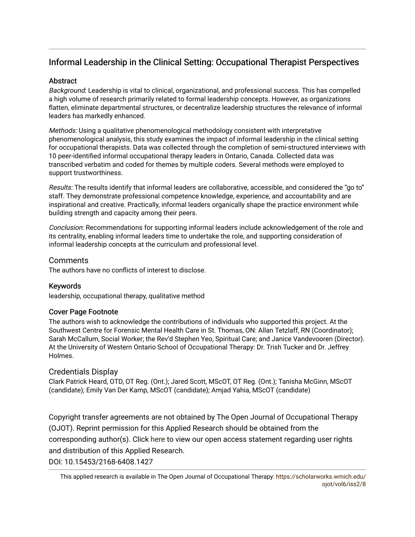## Informal Leadership in the Clinical Setting: Occupational Therapist Perspectives

### **Abstract**

Background: Leadership is vital to clinical, organizational, and professional success. This has compelled a high volume of research primarily related to formal leadership concepts. However, as organizations flatten, eliminate departmental structures, or decentralize leadership structures the relevance of informal leaders has markedly enhanced.

Methods: Using a qualitative phenomenological methodology consistent with interpretative phenomenological analysis, this study examines the impact of informal leadership in the clinical setting for occupational therapists. Data was collected through the completion of semi-structured interviews with 10 peer-identified informal occupational therapy leaders in Ontario, Canada. Collected data was transcribed verbatim and coded for themes by multiple coders. Several methods were employed to support trustworthiness.

Results: The results identify that informal leaders are collaborative, accessible, and considered the "go to" staff. They demonstrate professional competence knowledge, experience, and accountability and are inspirational and creative. Practically, informal leaders organically shape the practice environment while building strength and capacity among their peers.

Conclusion: Recommendations for supporting informal leaders include acknowledgement of the role and its centrality, enabling informal leaders time to undertake the role, and supporting consideration of informal leadership concepts at the curriculum and professional level.

### **Comments**

The authors have no conflicts of interest to disclose.

### Keywords

leadership, occupational therapy, qualitative method

### Cover Page Footnote

The authors wish to acknowledge the contributions of individuals who supported this project. At the Southwest Centre for Forensic Mental Health Care in St. Thomas, ON: Allan Tetzlaff, RN (Coordinator); Sarah McCallum, Social Worker; the Rev'd Stephen Yeo, Spiritual Care; and Janice Vandevooren (Director). At the University of Western Ontario School of Occupational Therapy: Dr. Trish Tucker and Dr. Jeffrey Holmes.

### Credentials Display

Clark Patrick Heard, OTD, OT Reg. (Ont.); Jared Scott, MScOT, OT Reg. (Ont.); Tanisha McGinn, MScOT (candidate); Emily Van Der Kamp, MScOT (candidate); Amjad Yahia, MScOT (candidate)

Copyright transfer agreements are not obtained by The Open Journal of Occupational Therapy (OJOT). Reprint permission for this Applied Research should be obtained from the corresponding author(s). Click [here](https://scholarworks.wmich.edu/ojot/policies.html#rights) to view our open access statement regarding user rights and distribution of this Applied Research.

DOI: 10.15453/2168-6408.1427

This applied research is available in The Open Journal of Occupational Therapy: [https://scholarworks.wmich.edu/](https://scholarworks.wmich.edu/ojot/vol6/iss2/8) [ojot/vol6/iss2/8](https://scholarworks.wmich.edu/ojot/vol6/iss2/8)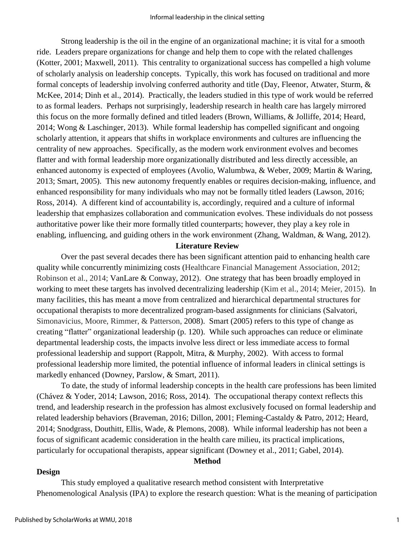Strong leadership is the oil in the engine of an organizational machine; it is vital for a smooth ride. Leaders prepare organizations for change and help them to cope with the related challenges (Kotter, 2001; Maxwell, 2011). This centrality to organizational success has compelled a high volume of scholarly analysis on leadership concepts. Typically, this work has focused on traditional and more formal concepts of leadership involving conferred authority and title (Day, Fleenor, Atwater, Sturm, & McKee, 2014; Dinh et al., 2014). Practically, the leaders studied in this type of work would be referred to as formal leaders. Perhaps not surprisingly, leadership research in health care has largely mirrored this focus on the more formally defined and titled leaders (Brown, Williams, & Jolliffe, 2014; Heard, 2014; Wong & Laschinger, 2013). While formal leadership has compelled significant and ongoing scholarly attention, it appears that shifts in workplace environments and cultures are influencing the centrality of new approaches. Specifically, as the modern work environment evolves and becomes flatter and with formal leadership more organizationally distributed and less directly accessible, an enhanced autonomy is expected of employees (Avolio, Walumbwa, & Weber, 2009; Martin & Waring, 2013; Smart, 2005). This new autonomy frequently enables or requires decision-making, influence, and enhanced responsibility for many individuals who may not be formally titled leaders (Lawson, 2016; Ross, 2014). A different kind of accountability is, accordingly, required and a culture of informal leadership that emphasizes collaboration and communication evolves. These individuals do not possess authoritative power like their more formally titled counterparts; however, they play a key role in enabling, influencing, and guiding others in the work environment (Zhang, Waldman, & Wang, 2012).

### **Literature Review**

Over the past several decades there has been significant attention paid to enhancing health care quality while concurrently minimizing costs (Healthcare Financial Management Association, 2012; Robinson et al., 2014; VanLare & Conway, 2012). One strategy that has been broadly employed in working to meet these targets has involved decentralizing leadership (Kim et al., 2014; Meier, 2015). In many facilities, this has meant a move from centralized and hierarchical departmental structures for occupational therapists to more decentralized program-based assignments for clinicians (Salvatori, Simonavicius, Moore, Rimmer, & Patterson, 2008). Smart (2005) refers to this type of change as creating "flatter" organizational leadership (p. 120). While such approaches can reduce or eliminate departmental leadership costs, the impacts involve less direct or less immediate access to formal professional leadership and support (Rappolt, Mitra, & Murphy, 2002). With access to formal professional leadership more limited, the potential influence of informal leaders in clinical settings is markedly enhanced (Downey, Parslow, & Smart, 2011).

To date, the study of informal leadership concepts in the health care professions has been limited (Chávez & Yoder, 2014; Lawson, 2016; Ross, 2014). The occupational therapy context reflects this trend, and leadership research in the profession has almost exclusively focused on formal leadership and related leadership behaviors (Braveman, 2016; Dillon, 2001; Fleming-Castaldy & Patro, 2012; Heard, 2014; Snodgrass, Douthitt, Ellis, Wade, & Plemons, 2008). While informal leadership has not been a focus of significant academic consideration in the health care milieu, its practical implications, particularly for occupational therapists, appear significant (Downey et al., 2011; Gabel, 2014).

**Method**

#### **Design**

This study employed a qualitative research method consistent with Interpretative Phenomenological Analysis (IPA) to explore the research question: What is the meaning of participation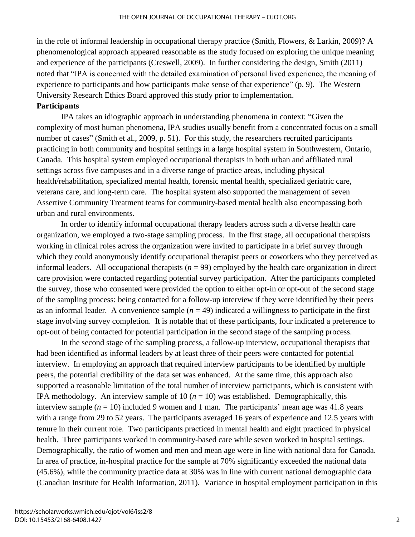in the role of informal leadership in occupational therapy practice (Smith, Flowers, & Larkin, 2009)? A phenomenological approach appeared reasonable as the study focused on exploring the unique meaning and experience of the participants (Creswell, 2009). In further considering the design, Smith (2011) noted that "IPA is concerned with the detailed examination of personal lived experience, the meaning of experience to participants and how participants make sense of that experience" (p. 9). The Western University Research Ethics Board approved this study prior to implementation.

#### **Participants**

IPA takes an idiographic approach in understanding phenomena in context: "Given the complexity of most human phenomena, IPA studies usually benefit from a concentrated focus on a small number of cases" (Smith et al., 2009, p. 51). For this study, the researchers recruited participants practicing in both community and hospital settings in a large hospital system in Southwestern, Ontario, Canada. This hospital system employed occupational therapists in both urban and affiliated rural settings across five campuses and in a diverse range of practice areas, including physical health/rehabilitation, specialized mental health, forensic mental health, specialized geriatric care, veterans care, and long-term care. The hospital system also supported the management of seven Assertive Community Treatment teams for community-based mental health also encompassing both urban and rural environments.

In order to identify informal occupational therapy leaders across such a diverse health care organization, we employed a two-stage sampling process. In the first stage, all occupational therapists working in clinical roles across the organization were invited to participate in a brief survey through which they could anonymously identify occupational therapist peers or coworkers who they perceived as informal leaders. All occupational therapists  $(n = 99)$  employed by the health care organization in direct care provision were contacted regarding potential survey participation. After the participants completed the survey, those who consented were provided the option to either opt-in or opt-out of the second stage of the sampling process: being contacted for a follow-up interview if they were identified by their peers as an informal leader. A convenience sample  $(n = 49)$  indicated a willingness to participate in the first stage involving survey completion. It is notable that of these participants, four indicated a preference to opt-out of being contacted for potential participation in the second stage of the sampling process.

In the second stage of the sampling process, a follow-up interview, occupational therapists that had been identified as informal leaders by at least three of their peers were contacted for potential interview. In employing an approach that required interview participants to be identified by multiple peers, the potential credibility of the data set was enhanced. At the same time, this approach also supported a reasonable limitation of the total number of interview participants, which is consistent with IPA methodology. An interview sample of 10  $(n = 10)$  was established. Demographically, this interview sample  $(n = 10)$  included 9 women and 1 man. The participants' mean age was 41.8 years with a range from 29 to 52 years. The participants averaged 16 years of experience and 12.5 years with tenure in their current role. Two participants practiced in mental health and eight practiced in physical health. Three participants worked in community-based care while seven worked in hospital settings. Demographically, the ratio of women and men and mean age were in line with national data for Canada. In area of practice, in-hospital practice for the sample at 70% significantly exceeded the national data (45.6%), while the community practice data at 30% was in line with current national demographic data (Canadian Institute for Health Information, 2011). Variance in hospital employment participation in this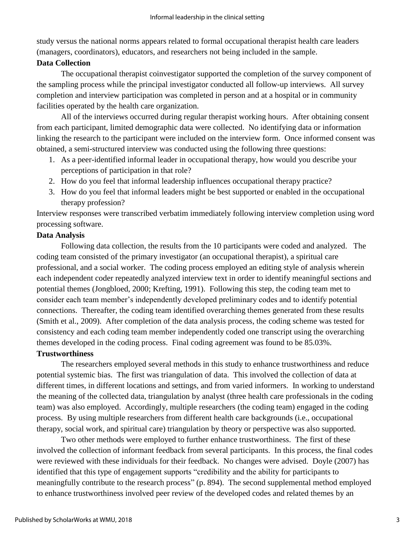study versus the national norms appears related to formal occupational therapist health care leaders (managers, coordinators), educators, and researchers not being included in the sample.

### **Data Collection**

The occupational therapist coinvestigator supported the completion of the survey component of the sampling process while the principal investigator conducted all follow-up interviews. All survey completion and interview participation was completed in person and at a hospital or in community facilities operated by the health care organization.

All of the interviews occurred during regular therapist working hours. After obtaining consent from each participant, limited demographic data were collected. No identifying data or information linking the research to the participant were included on the interview form. Once informed consent was obtained, a semi-structured interview was conducted using the following three questions:

- 1. As a peer-identified informal leader in occupational therapy, how would you describe your perceptions of participation in that role?
- 2. How do you feel that informal leadership influences occupational therapy practice?
- 3. How do you feel that informal leaders might be best supported or enabled in the occupational therapy profession?

Interview responses were transcribed verbatim immediately following interview completion using word processing software.

### **Data Analysis**

Following data collection, the results from the 10 participants were coded and analyzed. The coding team consisted of the primary investigator (an occupational therapist), a spiritual care professional, and a social worker. The coding process employed an editing style of analysis wherein each independent coder repeatedly analyzed interview text in order to identify meaningful sections and potential themes (Jongbloed, 2000; Krefting, 1991). Following this step, the coding team met to consider each team member's independently developed preliminary codes and to identify potential connections. Thereafter, the coding team identified overarching themes generated from these results (Smith et al., 2009). After completion of the data analysis process, the coding scheme was tested for consistency and each coding team member independently coded one transcript using the overarching themes developed in the coding process. Final coding agreement was found to be 85.03%.

## **Trustworthiness**

The researchers employed several methods in this study to enhance trustworthiness and reduce potential systemic bias. The first was triangulation of data. This involved the collection of data at different times, in different locations and settings, and from varied informers. In working to understand the meaning of the collected data, triangulation by analyst (three health care professionals in the coding team) was also employed. Accordingly, multiple researchers (the coding team) engaged in the coding process. By using multiple researchers from different health care backgrounds (i.e., occupational therapy, social work, and spiritual care) triangulation by theory or perspective was also supported.

Two other methods were employed to further enhance trustworthiness. The first of these involved the collection of informant feedback from several participants. In this process, the final codes were reviewed with these individuals for their feedback. No changes were advised. Doyle (2007) has identified that this type of engagement supports "credibility and the ability for participants to meaningfully contribute to the research process" (p. 894). The second supplemental method employed to enhance trustworthiness involved peer review of the developed codes and related themes by an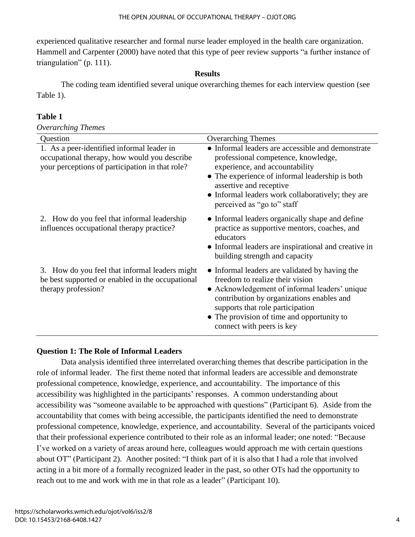experienced qualitative researcher and formal nurse leader employed in the health care organization. Hammell and Carpenter (2000) have noted that this type of peer review supports "a further instance of triangulation" (p. 111).

### **Results**

The coding team identified several unique overarching themes for each interview question (see Table 1).

### **Table 1**

*Overarching Themes*

| Question                                                                                                                                      | <b>Overarching Themes</b>                                                                                                                                                                                                                                                                      |
|-----------------------------------------------------------------------------------------------------------------------------------------------|------------------------------------------------------------------------------------------------------------------------------------------------------------------------------------------------------------------------------------------------------------------------------------------------|
| 1. As a peer-identified informal leader in<br>occupational therapy, how would you describe<br>your perceptions of participation in that role? | • Informal leaders are accessible and demonstrate<br>professional competence, knowledge,<br>experience, and accountability<br>• The experience of informal leadership is both<br>assertive and receptive<br>• Informal leaders work collaboratively; they are<br>perceived as "go to" staff    |
| 2. How do you feel that informal leadership<br>influences occupational therapy practice?                                                      | • Informal leaders organically shape and define<br>practice as supportive mentors, coaches, and<br>educators<br>• Informal leaders are inspirational and creative in<br>building strength and capacity                                                                                         |
| 3. How do you feel that informal leaders might<br>be best supported or enabled in the occupational<br>therapy profession?                     | • Informal leaders are validated by having the<br>freedom to realize their vision<br>• Acknowledgement of informal leaders' unique<br>contribution by organizations enables and<br>supports that role participation<br>• The provision of time and opportunity to<br>connect with peers is key |

### **Question 1: The Role of Informal Leaders**

Data analysis identified three interrelated overarching themes that describe participation in the role of informal leader. The first theme noted that informal leaders are accessible and demonstrate professional competence, knowledge, experience, and accountability. The importance of this accessibility was highlighted in the participants' responses. A common understanding about accessibility was "someone available to be approached with questions" (Participant 6). Aside from the accountability that comes with being accessible, the participants identified the need to demonstrate professional competence, knowledge, experience, and accountability. Several of the participants voiced that their professional experience contributed to their role as an informal leader; one noted: "Because I've worked on a variety of areas around here, colleagues would approach me with certain questions about OT" (Participant 2). Another posited: "I think part of it is also that I had a role that involved acting in a bit more of a formally recognized leader in the past, so other OTs had the opportunity to reach out to me and work with me in that role as a leader" (Participant 10).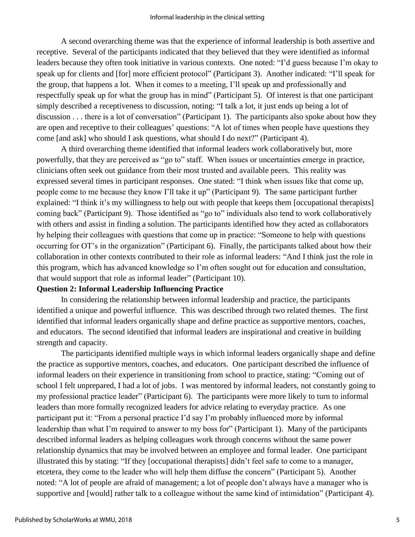A second overarching theme was that the experience of informal leadership is both assertive and receptive. Several of the participants indicated that they believed that they were identified as informal leaders because they often took initiative in various contexts. One noted: "I'd guess because I'm okay to speak up for clients and [for] more efficient protocol" (Participant 3). Another indicated: "I'll speak for the group, that happens a lot. When it comes to a meeting, I'll speak up and professionally and respectfully speak up for what the group has in mind" (Participant 5). Of interest is that one participant simply described a receptiveness to discussion, noting: "I talk a lot, it just ends up being a lot of discussion . . . there is a lot of conversation" (Participant 1). The participants also spoke about how they are open and receptive to their colleagues' questions: "A lot of times when people have questions they come [and ask] who should I ask questions, what should I do next?" (Participant 4).

A third overarching theme identified that informal leaders work collaboratively but, more powerfully, that they are perceived as "go to" staff. When issues or uncertainties emerge in practice, clinicians often seek out guidance from their most trusted and available peers. This reality was expressed several times in participant responses. One stated: "I think when issues like that come up, people come to me because they know I'll take it up" (Participant 9). The same participant further explained: "I think it's my willingness to help out with people that keeps them [occupational therapists] coming back" (Participant 9). Those identified as "go to" individuals also tend to work collaboratively with others and assist in finding a solution. The participants identified how they acted as collaborators by helping their colleagues with questions that come up in practice: "Someone to help with questions occurring for OT's in the organization" (Participant 6). Finally, the participants talked about how their collaboration in other contexts contributed to their role as informal leaders: "And I think just the role in this program, which has advanced knowledge so I'm often sought out for education and consultation, that would support that role as informal leader" (Participant 10).

### **Question 2: Informal Leadership Influencing Practice**

In considering the relationship between informal leadership and practice, the participants identified a unique and powerful influence. This was described through two related themes. The first identified that informal leaders organically shape and define practice as supportive mentors, coaches, and educators. The second identified that informal leaders are inspirational and creative in building strength and capacity.

The participants identified multiple ways in which informal leaders organically shape and define the practice as supportive mentors, coaches, and educators. One participant described the influence of informal leaders on their experience in transitioning from school to practice, stating: "Coming out of school I felt unprepared, I had a lot of jobs. I was mentored by informal leaders, not constantly going to my professional practice leader" (Participant 6). The participants were more likely to turn to informal leaders than more formally recognized leaders for advice relating to everyday practice. As one participant put it: "From a personal practice I'd say I'm probably influenced more by informal leadership than what I'm required to answer to my boss for" (Participant 1). Many of the participants described informal leaders as helping colleagues work through concerns without the same power relationship dynamics that may be involved between an employee and formal leader. One participant illustrated this by stating: "If they [occupational therapists] didn't feel safe to come to a manager, etcetera, they come to the leader who will help them diffuse the concern" (Participant 5). Another noted: "A lot of people are afraid of management; a lot of people don't always have a manager who is supportive and [would] rather talk to a colleague without the same kind of intimidation" (Participant 4).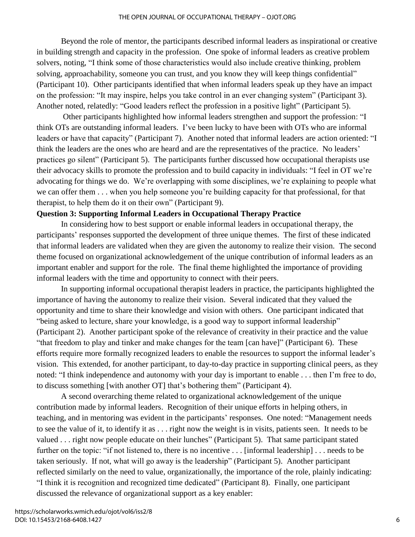Beyond the role of mentor, the participants described informal leaders as inspirational or creative in building strength and capacity in the profession. One spoke of informal leaders as creative problem solvers, noting, "I think some of those characteristics would also include creative thinking, problem solving, approachability, someone you can trust, and you know they will keep things confidential" (Participant 10). Other participants identified that when informal leaders speak up they have an impact on the profession: "It may inspire, helps you take control in an ever changing system" (Participant 3). Another noted, relatedly: "Good leaders reflect the profession in a positive light" (Participant 5).

Other participants highlighted how informal leaders strengthen and support the profession: "I think OTs are outstanding informal leaders. I've been lucky to have been with OTs who are informal leaders or have that capacity" (Participant 7). Another noted that informal leaders are action oriented: "I think the leaders are the ones who are heard and are the representatives of the practice. No leaders' practices go silent" (Participant 5). The participants further discussed how occupational therapists use their advocacy skills to promote the profession and to build capacity in individuals: "I feel in OT we're advocating for things we do. We're overlapping with some disciplines, we're explaining to people what we can offer them . . . when you help someone you're building capacity for that professional, for that therapist, to help them do it on their own" (Participant 9).

### **Question 3: Supporting Informal Leaders in Occupational Therapy Practice**

In considering how to best support or enable informal leaders in occupational therapy, the participants' responses supported the development of three unique themes. The first of these indicated that informal leaders are validated when they are given the autonomy to realize their vision. The second theme focused on organizational acknowledgement of the unique contribution of informal leaders as an important enabler and support for the role. The final theme highlighted the importance of providing informal leaders with the time and opportunity to connect with their peers.

In supporting informal occupational therapist leaders in practice, the participants highlighted the importance of having the autonomy to realize their vision. Several indicated that they valued the opportunity and time to share their knowledge and vision with others. One participant indicated that "being asked to lecture, share your knowledge, is a good way to support informal leadership" (Participant 2). Another participant spoke of the relevance of creativity in their practice and the value "that freedom to play and tinker and make changes for the team [can have]" (Participant 6). These efforts require more formally recognized leaders to enable the resources to support the informal leader's vision. This extended, for another participant, to day-to-day practice in supporting clinical peers, as they noted: "I think independence and autonomy with your day is important to enable . . . then I'm free to do, to discuss something [with another OT] that's bothering them" (Participant 4).

A second overarching theme related to organizational acknowledgement of the unique contribution made by informal leaders. Recognition of their unique efforts in helping others, in teaching, and in mentoring was evident in the participants' responses. One noted: "Management needs to see the value of it, to identify it as . . . right now the weight is in visits, patients seen. It needs to be valued . . . right now people educate on their lunches" (Participant 5). That same participant stated further on the topic: "if not listened to, there is no incentive . . . [informal leadership] . . . needs to be taken seriously. If not, what will go away is the leadership" (Participant 5). Another participant reflected similarly on the need to value, organizationally, the importance of the role, plainly indicating: "I think it is recognition and recognized time dedicated" (Participant 8). Finally, one participant discussed the relevance of organizational support as a key enabler: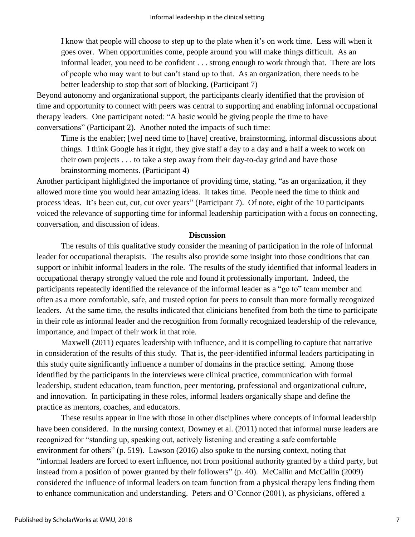I know that people will choose to step up to the plate when it's on work time. Less will when it goes over. When opportunities come, people around you will make things difficult. As an informal leader, you need to be confident . . . strong enough to work through that. There are lots of people who may want to but can't stand up to that. As an organization, there needs to be better leadership to stop that sort of blocking. (Participant 7)

Beyond autonomy and organizational support, the participants clearly identified that the provision of time and opportunity to connect with peers was central to supporting and enabling informal occupational therapy leaders. One participant noted: "A basic would be giving people the time to have conversations" (Participant 2). Another noted the impacts of such time:

Time is the enabler; [we] need time to [have] creative, brainstorming, informal discussions about things. I think Google has it right, they give staff a day to a day and a half a week to work on their own projects . . . to take a step away from their day-to-day grind and have those brainstorming moments. (Participant 4)

Another participant highlighted the importance of providing time, stating, "as an organization, if they allowed more time you would hear amazing ideas. It takes time. People need the time to think and process ideas. It's been cut, cut, cut over years" (Participant 7). Of note, eight of the 10 participants voiced the relevance of supporting time for informal leadership participation with a focus on connecting, conversation, and discussion of ideas.

### **Discussion**

The results of this qualitative study consider the meaning of participation in the role of informal leader for occupational therapists. The results also provide some insight into those conditions that can support or inhibit informal leaders in the role. The results of the study identified that informal leaders in occupational therapy strongly valued the role and found it professionally important. Indeed, the participants repeatedly identified the relevance of the informal leader as a "go to" team member and often as a more comfortable, safe, and trusted option for peers to consult than more formally recognized leaders. At the same time, the results indicated that clinicians benefited from both the time to participate in their role as informal leader and the recognition from formally recognized leadership of the relevance, importance, and impact of their work in that role.

Maxwell (2011) equates leadership with influence, and it is compelling to capture that narrative in consideration of the results of this study. That is, the peer-identified informal leaders participating in this study quite significantly influence a number of domains in the practice setting. Among those identified by the participants in the interviews were clinical practice, communication with formal leadership, student education, team function, peer mentoring, professional and organizational culture, and innovation. In participating in these roles, informal leaders organically shape and define the practice as mentors, coaches, and educators.

These results appear in line with those in other disciplines where concepts of informal leadership have been considered. In the nursing context, Downey et al. (2011) noted that informal nurse leaders are recognized for "standing up, speaking out, actively listening and creating a safe comfortable environment for others" (p. 519). Lawson (2016) also spoke to the nursing context, noting that "informal leaders are forced to exert influence, not from positional authority granted by a third party, but instead from a position of power granted by their followers" (p. 40). McCallin and McCallin (2009) considered the influence of informal leaders on team function from a physical therapy lens finding them to enhance communication and understanding. Peters and O'Connor (2001), as physicians, offered a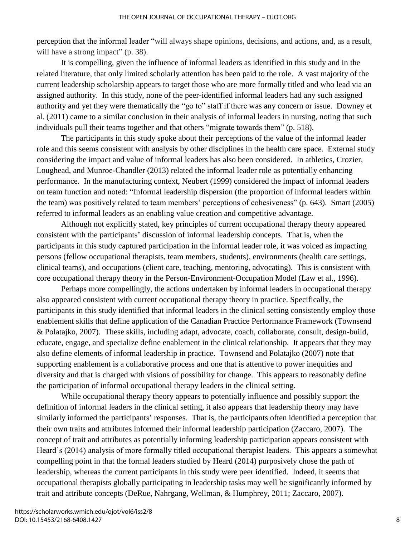perception that the informal leader "will always shape opinions, decisions, and actions, and, as a result, will have a strong impact" (p. 38).

It is compelling, given the influence of informal leaders as identified in this study and in the related literature, that only limited scholarly attention has been paid to the role. A vast majority of the current leadership scholarship appears to target those who are more formally titled and who lead via an assigned authority. In this study, none of the peer-identified informal leaders had any such assigned authority and yet they were thematically the "go to" staff if there was any concern or issue. Downey et al. (2011) came to a similar conclusion in their analysis of informal leaders in nursing, noting that such individuals pull their teams together and that others "migrate towards them" (p. 518).

The participants in this study spoke about their perceptions of the value of the informal leader role and this seems consistent with analysis by other disciplines in the health care space. External study considering the impact and value of informal leaders has also been considered. In athletics, Crozier, Loughead, and Munroe-Chandler (2013) related the informal leader role as potentially enhancing performance. In the manufacturing context, Neubert (1999) considered the impact of informal leaders on team function and noted: "Informal leadership dispersion (the proportion of informal leaders within the team) was positively related to team members' perceptions of cohesiveness" (p. 643). Smart (2005) referred to informal leaders as an enabling value creation and competitive advantage.

Although not explicitly stated, key principles of current occupational therapy theory appeared consistent with the participants' discussion of informal leadership concepts. That is, when the participants in this study captured participation in the informal leader role, it was voiced as impacting persons (fellow occupational therapists, team members, students), environments (health care settings, clinical teams), and occupations (client care, teaching, mentoring, advocating). This is consistent with core occupational therapy theory in the Person-Environment-Occupation Model (Law et al., 1996).

Perhaps more compellingly, the actions undertaken by informal leaders in occupational therapy also appeared consistent with current occupational therapy theory in practice. Specifically, the participants in this study identified that informal leaders in the clinical setting consistently employ those enablement skills that define application of the Canadian Practice Performance Framework (Townsend & Polatajko, 2007). These skills, including adapt, advocate, coach, collaborate, consult, design-build, educate, engage, and specialize define enablement in the clinical relationship. It appears that they may also define elements of informal leadership in practice. Townsend and Polatajko (2007) note that supporting enablement is a collaborative process and one that is attentive to power inequities and diversity and that is charged with visions of possibility for change. This appears to reasonably define the participation of informal occupational therapy leaders in the clinical setting.

While occupational therapy theory appears to potentially influence and possibly support the definition of informal leaders in the clinical setting, it also appears that leadership theory may have similarly informed the participants' responses. That is, the participants often identified a perception that their own traits and attributes informed their informal leadership participation (Zaccaro, 2007). The concept of trait and attributes as potentially informing leadership participation appears consistent with Heard's (2014) analysis of more formally titled occupational therapist leaders. This appears a somewhat compelling point in that the formal leaders studied by Heard (2014) purposively chose the path of leadership, whereas the current participants in this study were peer identified. Indeed, it seems that occupational therapists globally participating in leadership tasks may well be significantly informed by trait and attribute concepts (DeRue, Nahrgang, Wellman, & Humphrey, 2011; Zaccaro, 2007).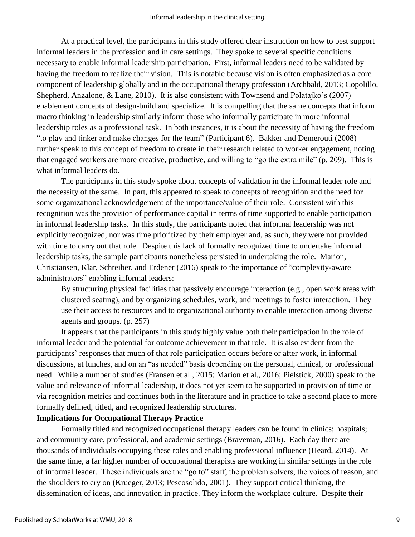At a practical level, the participants in this study offered clear instruction on how to best support informal leaders in the profession and in care settings. They spoke to several specific conditions necessary to enable informal leadership participation. First, informal leaders need to be validated by having the freedom to realize their vision. This is notable because vision is often emphasized as a core component of leadership globally and in the occupational therapy profession (Archbald, 2013; Copolillo, Shepherd, Anzalone, & Lane, 2010). It is also consistent with Townsend and Polatajko's (2007) enablement concepts of design-build and specialize. It is compelling that the same concepts that inform macro thinking in leadership similarly inform those who informally participate in more informal leadership roles as a professional task. In both instances, it is about the necessity of having the freedom "to play and tinker and make changes for the team" (Participant 6). Bakker and Demerouti (2008) further speak to this concept of freedom to create in their research related to worker engagement, noting that engaged workers are more creative, productive, and willing to "go the extra mile" (p. 209). This is what informal leaders do.

The participants in this study spoke about concepts of validation in the informal leader role and the necessity of the same. In part, this appeared to speak to concepts of recognition and the need for some organizational acknowledgement of the importance/value of their role. Consistent with this recognition was the provision of performance capital in terms of time supported to enable participation in informal leadership tasks. In this study, the participants noted that informal leadership was not explicitly recognized, nor was time prioritized by their employer and, as such, they were not provided with time to carry out that role. Despite this lack of formally recognized time to undertake informal leadership tasks, the sample participants nonetheless persisted in undertaking the role. Marion, Christiansen, Klar, Schreiber, and Erdener (2016) speak to the importance of "complexity-aware administrators" enabling informal leaders:

By structuring physical facilities that passively encourage interaction (e.g., open work areas with clustered seating), and by organizing schedules, work, and meetings to foster interaction. They use their access to resources and to organizational authority to enable interaction among diverse agents and groups. (p. 257)

It appears that the participants in this study highly value both their participation in the role of informal leader and the potential for outcome achievement in that role. It is also evident from the participants' responses that much of that role participation occurs before or after work, in informal discussions, at lunches, and on an "as needed" basis depending on the personal, clinical, or professional need. While a number of studies (Fransen et al., 2015; Marion et al., 2016; Pielstick, 2000) speak to the value and relevance of informal leadership, it does not yet seem to be supported in provision of time or via recognition metrics and continues both in the literature and in practice to take a second place to more formally defined, titled, and recognized leadership structures.

### **Implications for Occupational Therapy Practice**

Formally titled and recognized occupational therapy leaders can be found in clinics; hospitals; and community care, professional, and academic settings (Braveman, 2016). Each day there are thousands of individuals occupying these roles and enabling professional influence (Heard, 2014). At the same time, a far higher number of occupational therapists are working in similar settings in the role of informal leader. These individuals are the "go to" staff, the problem solvers, the voices of reason, and the shoulders to cry on (Krueger, 2013; Pescosolido, 2001). They support critical thinking, the dissemination of ideas, and innovation in practice. They inform the workplace culture. Despite their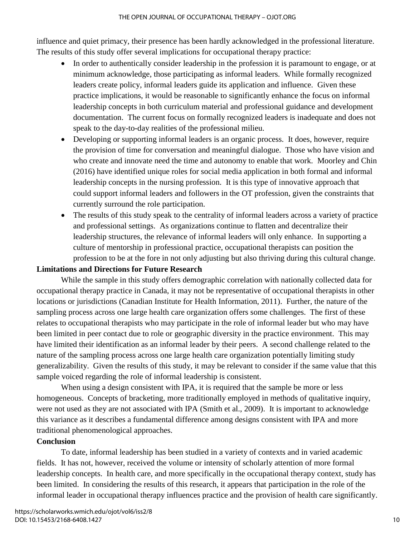influence and quiet primacy, their presence has been hardly acknowledged in the professional literature. The results of this study offer several implications for occupational therapy practice:

- In order to authentically consider leadership in the profession it is paramount to engage, or at minimum acknowledge, those participating as informal leaders. While formally recognized leaders create policy, informal leaders guide its application and influence. Given these practice implications, it would be reasonable to significantly enhance the focus on informal leadership concepts in both curriculum material and professional guidance and development documentation. The current focus on formally recognized leaders is inadequate and does not speak to the day-to-day realities of the professional milieu.
- Developing or supporting informal leaders is an organic process. It does, however, require the provision of time for conversation and meaningful dialogue. Those who have vision and who create and innovate need the time and autonomy to enable that work. Moorley and Chin (2016) have identified unique roles for social media application in both formal and informal leadership concepts in the nursing profession. It is this type of innovative approach that could support informal leaders and followers in the OT profession, given the constraints that currently surround the role participation.
- The results of this study speak to the centrality of informal leaders across a variety of practice and professional settings. As organizations continue to flatten and decentralize their leadership structures, the relevance of informal leaders will only enhance. In supporting a culture of mentorship in professional practice, occupational therapists can position the profession to be at the fore in not only adjusting but also thriving during this cultural change.

### **Limitations and Directions for Future Research**

While the sample in this study offers demographic correlation with nationally collected data for occupational therapy practice in Canada, it may not be representative of occupational therapists in other locations or jurisdictions (Canadian Institute for Health Information, 2011). Further, the nature of the sampling process across one large health care organization offers some challenges. The first of these relates to occupational therapists who may participate in the role of informal leader but who may have been limited in peer contact due to role or geographic diversity in the practice environment. This may have limited their identification as an informal leader by their peers. A second challenge related to the nature of the sampling process across one large health care organization potentially limiting study generalizability. Given the results of this study, it may be relevant to consider if the same value that this sample voiced regarding the role of informal leadership is consistent.

When using a design consistent with IPA, it is required that the sample be more or less homogeneous. Concepts of bracketing, more traditionally employed in methods of qualitative inquiry, were not used as they are not associated with IPA (Smith et al., 2009). It is important to acknowledge this variance as it describes a fundamental difference among designs consistent with IPA and more traditional phenomenological approaches.

### **Conclusion**

 To date, informal leadership has been studied in a variety of contexts and in varied academic fields. It has not, however, received the volume or intensity of scholarly attention of more formal leadership concepts. In health care, and more specifically in the occupational therapy context, study has been limited. In considering the results of this research, it appears that participation in the role of the informal leader in occupational therapy influences practice and the provision of health care significantly.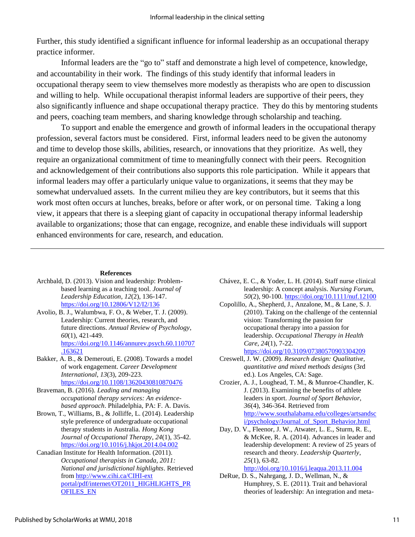Further, this study identified a significant influence for informal leadership as an occupational therapy practice informer.

 Informal leaders are the "go to" staff and demonstrate a high level of competence, knowledge, and accountability in their work. The findings of this study identify that informal leaders in occupational therapy seem to view themselves more modestly as therapists who are open to discussion and willing to help. While occupational therapist informal leaders are supportive of their peers, they also significantly influence and shape occupational therapy practice. They do this by mentoring students and peers, coaching team members, and sharing knowledge through scholarship and teaching.

 To support and enable the emergence and growth of informal leaders in the occupational therapy profession, several factors must be considered. First, informal leaders need to be given the autonomy and time to develop those skills, abilities, research, or innovations that they prioritize. As well, they require an organizational commitment of time to meaningfully connect with their peers. Recognition and acknowledgement of their contributions also supports this role participation. While it appears that informal leaders may offer a particularly unique value to organizations, it seems that they may be somewhat undervalued assets. In the current milieu they are key contributors, but it seems that this work most often occurs at lunches, breaks, before or after work, or on personal time. Taking a long view, it appears that there is a sleeping giant of capacity in occupational therapy informal leadership available to organizations; those that can engage, recognize, and enable these individuals will support enhanced environments for care, research, and education.

#### **References**

- Archbald, D. (2013). Vision and leadership: Problembased learning as a teaching tool. *Journal of Leadership Education*, *12*(2), 136-147. <https://doi.org/10.12806/V12/I2/136>
- Avolio, B. J., Walumbwa, F. O., & Weber, T. J. (2009). Leadership: Current theories, research, and future directions. *Annual Review of Psychology*, *60*(1), 421-449. [https://doi.org/10.1146/annurev.psych.60.110707](https://doi.org/10.1146/annurev.psych.60.110707.163621) [.163621](https://doi.org/10.1146/annurev.psych.60.110707.163621)
- Bakker, A. B., & Demerouti, E. (2008). Towards a model of work engagement. *Career Development International*, *13*(3), 209-223. <https://doi.org/10.1108/13620430810870476>
- Braveman, B. (2016). *Leading and managing occupational therapy services: An evidencebased approach*. Philadelphia, PA: F. A. Davis.
- Brown, T., Williams, B., & Jolliffe, L. (2014). Leadership style preference of undergraduate occupational therapy students in Australia. *Hong Kong Journal of Occupational Therapy*, *24*(1), 35-42. <https://doi.org/10.1016/j.hkjot.2014.04.002>
- Canadian Institute for Health Information. (2011). *Occupational therapists in Canada, 2011: National and jurisdictional highlights*. Retrieved from [http://www.cihi.ca/CIHI-ext](http://www.cihi.ca/CIHI-ext%20portal/pdf/internet/OT2011_HIGHLIGHTS_PROFILES_EN)  [portal/pdf/internet/OT2011\\_HIGHLIGHTS\\_PR](http://www.cihi.ca/CIHI-ext%20portal/pdf/internet/OT2011_HIGHLIGHTS_PROFILES_EN) [OFILES\\_EN](http://www.cihi.ca/CIHI-ext%20portal/pdf/internet/OT2011_HIGHLIGHTS_PROFILES_EN)
- Chávez, E. C., & Yoder, L. H. (2014). Staff nurse clinical leadership: A concept analysis. *Nursing Forum*, *50*(2), 90-100.<https://doi.org/10.1111/nuf.12100>
- Copolillo, A., Shepherd, J., Anzalone, M., & Lane, S. J. (2010). Taking on the challenge of the centennial vision: Transforming the passion for occupational therapy into a passion for leadership. *Occupational Therapy in Health Care*, *24*(1), 7-22.

<https://doi.org/10.3109/07380570903304209>

- Creswell, J. W. (2009). *Research design: Qualitative, quantitative and mixed methods designs* (3rd ed.). Los Angeles, CA: Sage.
- Crozier, A. J., Loughead, T. M., & Munroe-Chandler, K. J. (2013). Examining the benefits of athlete leaders in sport. *Journal of Sport Behavior*, *36*(4), 346-364. Retrieved from [http://www.southalabama.edu/colleges/artsandsc](http://www.southalabama.edu/colleges/artsandsci/psychology/Journal_of_Sport_Behavior.html) [i/psychology/Journal\\_of\\_Sport\\_Behavior.html](http://www.southalabama.edu/colleges/artsandsci/psychology/Journal_of_Sport_Behavior.html)
- Day, D. V., Fleenor, J. W., Atwater, L. E., Sturm, R. E., & McKee, R. A. (2014). Advances in leader and leadership development: A review of 25 years of research and theory. *Leadership Quarterly*, *25*(1), 63-82. <http://doi.org/10.1016/j.leaqua.2013.11.004>
- DeRue, D. S., Nahrgang, J. D., Wellman, N., & Humphrey, S. E. (2011). Trait and behavioral theories of leadership: An integration and meta-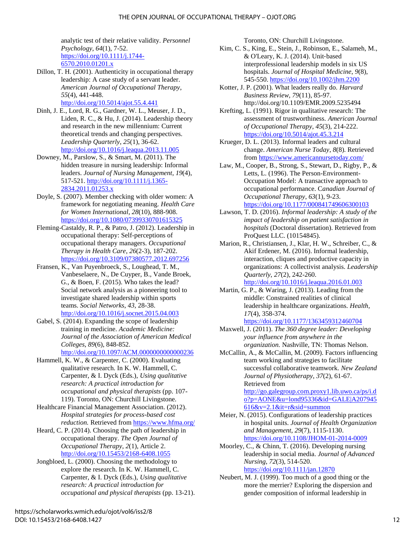#### THE OPEN JOURNAL OF OCCUPATIONAL THERAPY – OJOT.ORG

analytic test of their relative validity. *Personnel Psychology*, *64*(1), 7-52. [https://doi.org/10.1111/j.1744-](https://doi.org/10.1111/j.1744-6570.2010.01201.x) [6570.2010.01201.x](https://doi.org/10.1111/j.1744-6570.2010.01201.x)

- Dillon, T. H. (2001). Authenticity in occupational therapy leadership: A case study of a servant leader. *American Journal of Occupational Therapy*, *55*(4), 441-448. <http://doi.org/10.5014/ajot.55.4.441>
- Dinh, J. E., Lord, R. G., Gardner, W. L., Meuser, J. D., Liden, R. C., & Hu, J. (2014). Leadership theory and research in the new millennium: Current theoretical trends and changing perspectives. *Leadership Quarterly*, *25*(1), 36-62. <http://doi.org/10.1016/j.leaqua.2013.11.005>
- Downey, M., Parslow, S., & Smart, M. (2011). The hidden treasure in nursing leadership: Informal leaders. *Journal of Nursing Management*, *19*(4), 517-521. [http://doi.org/10.1111/j.1365-](http://doi.org/10.1111/j.1365-2834.2011.01253.x) [2834.2011.01253.x](http://doi.org/10.1111/j.1365-2834.2011.01253.x)
- Doyle, S. (2007). Member checking with older women: A framework for negotiating meaning. *Health Care for Women International*, *28*(10), 888-908. <https://doi.org/10.1080/07399330701615325>
- Fleming-Castaldy, R. P., & Patro, J. (2012). Leadership in occupational therapy: Self-perceptions of occupational therapy managers. *Occupational Therapy in Health Care*, *26*(2-3), 187-202. <https://doi.org/10.3109/07380577.2012.697256>
- Fransen, K., Van Puyenbroeck, S., Loughead, T. M., Vanbeselaere, N., De Cuyper, B., Vande Broek, G., & Boen, F. (2015). Who takes the lead? Social network analysis as a pioneering tool to investigate shared leadership within sports teams. *Social Networks*, *43*, 28-38. <http://doi.org/10.1016/j.socnet.2015.04.003>
- Gabel, S. (2014). Expanding the scope of leadership training in medicine. *Academic Medicine: Journal of the Association of American Medical Colleges*, *89*(6), 848-852. <http://doi.org/10.1097/ACM.0000000000000236>
- Hammell, K. W., & Carpenter, C. (2000). Evaluating qualitative research. In K. W. Hammell, C. Carpenter, & I. Dyck (Eds.), *Using qualitative research: A practical introduction for occupational and physical therapists* (pp. 107- 119). Toronto, ON: Churchill Livingstone.
- Healthcare Financial Management Association. (2012). *Hospital strategies for process-based cost reduction.* Retrieved from <https://www.hfma.org/>
- Heard, C. P. (2014). Choosing the path of leadership in occupational therapy. *The Open Journal of Occupational Therapy*, *2*(1), Article 2. <http://doi.org/10.15453/2168-6408.1055>
- Jongbloed, L. (2000). Choosing the methodology to explore the research. In K. W. Hammell, C. Carpenter, & I. Dyck (Eds.), *Using qualitative research: A practical introduction for occupational and physical therapists* (pp. 13-21).

Toronto, ON: Churchill Livingstone.

- Kim, C. S., King, E., Stein, J., Robinson, E., Salameh, M., & O'Leary, K. J. (2014). Unit‐based interprofessional leadership models in six US hospitals. *Journal of Hospital Medicine*, *9*(8), 545-550. <https://doi.org/10.1002/jhm.2200>
- Kotter, J. P. (2001). What leaders really do. *Harvard Business Review*, *79*(11), 85-97. <http://doi.org/10.1109/EMR.2009.5235494>
- Krefting, L. (1991). Rigor in qualitative research: The assessment of trustworthiness. *American Journal of Occupational Therapy*, *45*(3), 214-222. <https://doi.org/10.5014/ajot.45.3.214>
- Krueger, D. L. (2013). Informal leaders and cultural change. *American Nurse Today*, *8*(8). Retrieved from <https://www.americannursetoday.com/>
- Law, M., Cooper, B., Strong, S., Stewart, D., Rigby, P., & Letts, L. (1996). The Person-Environment-Occupation Model: A transactive approach to occupational performance. C*anadian Journal of Occupational Therapy*, *63*(1), 9-23. <https://doi.org/10.1177/000841749606300103>
- Lawson, T. D. (2016). *Informal leadership: A study of the impact of leadership on patient satisfaction in hospitals* (Doctoral dissertation). Retrieved from ProQuest LLC. (10154845).
- Marion, R., Christiansen, J., Klar, H. W., Schreiber, C., & Akif Erdener, M. (2016). Informal leadership, interaction, cliques and productive capacity in organizations: A collectivist analysis. *Leadership Quarterly*, *27*(2), 242-260.

<http://doi.org/10.1016/j.leaqua.2016.01.003>

- Martin, G. P., & Waring, J. (2013). Leading from the middle: Constrained realities of clinical leadership in healthcare organizations. *Health*, *17*(4), 358-374.
	- <https://doi.org/10.1177/1363459312460704>
- Maxwell, J. (2011). *The 360 degree leader: Developing your influence from anywhere in the organization.* Nashville, TN: Thomas Nelson.
- McCallin, A., & McCallin, M. (2009). Factors influencing team working and strategies to facilitate successful collaborative teamwork. *New Zealand Journal of Physiotherapy*, *37*(2), 61-67. Retrieved from

[http://go.galegroup.com.proxy1.lib.uwo.ca/ps/i.d](http://go.galegroup.com.proxy1.lib.uwo.ca/ps/i.do?p=AONE&u=lond95336&id=GALE%7CA207945616&v=2.1&it=r&sid=summon) [o?p=AONE&u=lond95336&id=GALE|A207945](http://go.galegroup.com.proxy1.lib.uwo.ca/ps/i.do?p=AONE&u=lond95336&id=GALE%7CA207945616&v=2.1&it=r&sid=summon) [616&v=2.1&it=r&sid=summon](http://go.galegroup.com.proxy1.lib.uwo.ca/ps/i.do?p=AONE&u=lond95336&id=GALE%7CA207945616&v=2.1&it=r&sid=summon)

- Meier, N. (2015). Configurations of leadership practices in hospital units. *Journal of Health Organization and Management*, *29*(7), 1115-1130. <https://doi.org/10.1108/JHOM-01-2014-0009>
- Moorley, C., & Chinn, T. (2016). Developing nursing leadership in social media. *Journal of Advanced Nursing*, *72*(3), 514-520. <https://doi.org/10.1111/jan.12870>
- Neubert, M. J. (1999). Too much of a good thing or the more the merrier? Exploring the dispersion and gender composition of informal leadership in